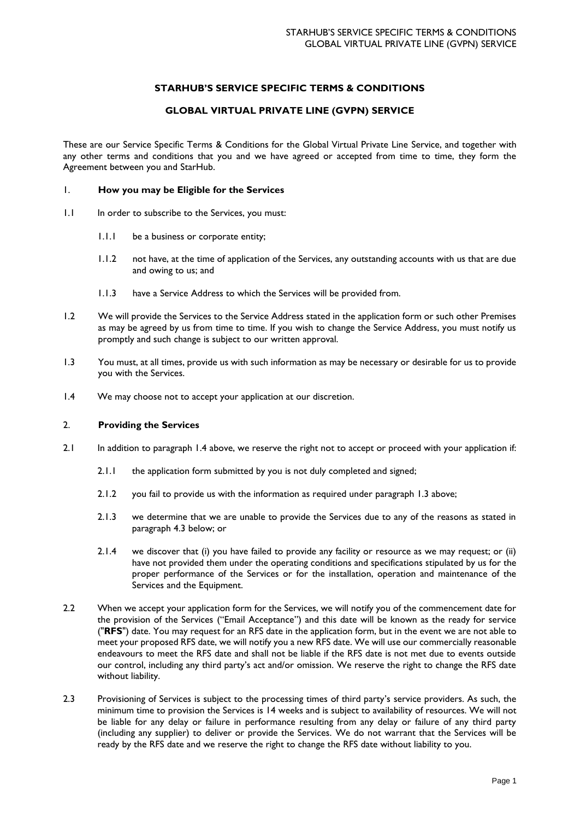# **STARHUB'S SERVICE SPECIFIC TERMS & CONDITIONS**

# **GLOBAL VIRTUAL PRIVATE LINE (GVPN) SERVICE**

These are our Service Specific Terms & Conditions for the Global Virtual Private Line Service, and together with any other terms and conditions that you and we have agreed or accepted from time to time, they form the Agreement between you and StarHub.

## 1. **How you may be Eligible for the Services**

- 1.1 In order to subscribe to the Services, you must:
	- 1.1.1 be a business or corporate entity;
	- 1.1.2 not have, at the time of application of the Services, any outstanding accounts with us that are due and owing to us; and
	- 1.1.3 have a Service Address to which the Services will be provided from.
- 1.2 We will provide the Services to the Service Address stated in the application form or such other Premises as may be agreed by us from time to time. If you wish to change the Service Address, you must notify us promptly and such change is subject to our written approval.
- 1.3 You must, at all times, provide us with such information as may be necessary or desirable for us to provide you with the Services.
- 1.4 We may choose not to accept your application at our discretion.

### 2. **Providing the Services**

- 2.1 In addition to paragraph 1.4 above, we reserve the right not to accept or proceed with your application if:
	- 2.1.1 the application form submitted by you is not duly completed and signed;
	- 2.1.2 you fail to provide us with the information as required under paragraph 1.3 above;
	- 2.1.3 we determine that we are unable to provide the Services due to any of the reasons as stated in paragraph 4.3 below; or
	- 2.1.4 we discover that (i) you have failed to provide any facility or resource as we may request; or (ii) have not provided them under the operating conditions and specifications stipulated by us for the proper performance of the Services or for the installation, operation and maintenance of the Services and the Equipment.
- 2.2 When we accept your application form for the Services, we will notify you of the commencement date for the provision of the Services ("Email Acceptance") and this date will be known as the ready for service ("**RFS**") date. You may request for an RFS date in the application form, but in the event we are not able to meet your proposed RFS date, we will notify you a new RFS date. We will use our commercially reasonable endeavours to meet the RFS date and shall not be liable if the RFS date is not met due to events outside our control, including any third party's act and/or omission. We reserve the right to change the RFS date without liability.
- 2.3 Provisioning of Services is subject to the processing times of third party's service providers. As such, the minimum time to provision the Services is 14 weeks and is subject to availability of resources. We will not be liable for any delay or failure in performance resulting from any delay or failure of any third party (including any supplier) to deliver or provide the Services. We do not warrant that the Services will be ready by the RFS date and we reserve the right to change the RFS date without liability to you.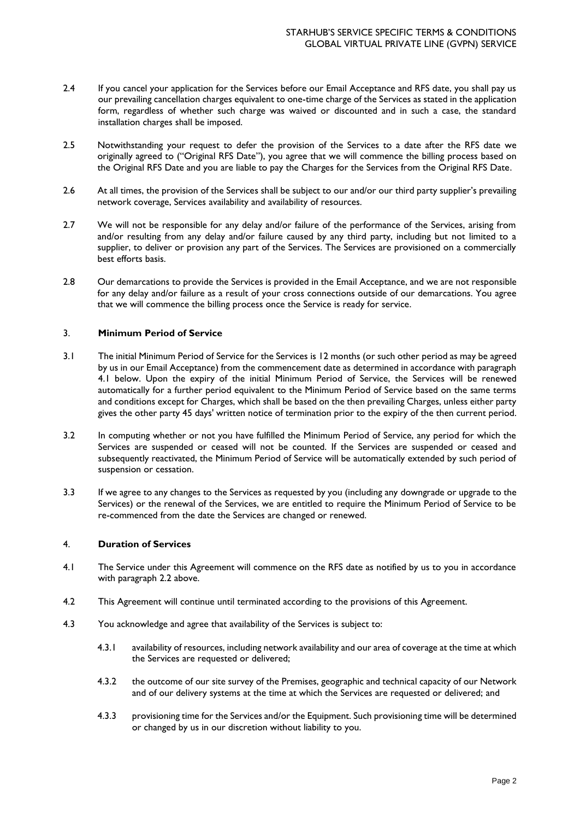- 2.4 If you cancel your application for the Services before our Email Acceptance and RFS date, you shall pay us our prevailing cancellation charges equivalent to one-time charge of the Services as stated in the application form, regardless of whether such charge was waived or discounted and in such a case, the standard installation charges shall be imposed.
- 2.5 Notwithstanding your request to defer the provision of the Services to a date after the RFS date we originally agreed to ("Original RFS Date"), you agree that we will commence the billing process based on the Original RFS Date and you are liable to pay the Charges for the Services from the Original RFS Date.
- 2.6 At all times, the provision of the Services shall be subject to our and/or our third party supplier's prevailing network coverage, Services availability and availability of resources.
- 2.7 We will not be responsible for any delay and/or failure of the performance of the Services, arising from and/or resulting from any delay and/or failure caused by any third party, including but not limited to a supplier, to deliver or provision any part of the Services. The Services are provisioned on a commercially best efforts basis.
- 2.8 Our demarcations to provide the Services is provided in the Email Acceptance, and we are not responsible for any delay and/or failure as a result of your cross connections outside of our demarcations. You agree that we will commence the billing process once the Service is ready for service.

### 3. **Minimum Period of Service**

- 3.1 The initial Minimum Period of Service for the Services is 12 months (or such other period as may be agreed by us in our Email Acceptance) from the commencement date as determined in accordance with paragraph 4.1 below. Upon the expiry of the initial Minimum Period of Service, the Services will be renewed automatically for a further period equivalent to the Minimum Period of Service based on the same terms and conditions except for Charges, which shall be based on the then prevailing Charges, unless either party gives the other party 45 days' written notice of termination prior to the expiry of the then current period.
- 3.2 In computing whether or not you have fulfilled the Minimum Period of Service, any period for which the Services are suspended or ceased will not be counted. If the Services are suspended or ceased and subsequently reactivated, the Minimum Period of Service will be automatically extended by such period of suspension or cessation.
- 3.3 If we agree to any changes to the Services as requested by you (including any downgrade or upgrade to the Services) or the renewal of the Services, we are entitled to require the Minimum Period of Service to be re-commenced from the date the Services are changed or renewed.

### 4. **Duration of Services**

- 4.1 The Service under this Agreement will commence on the RFS date as notified by us to you in accordance with paragraph 2.2 above.
- 4.2 This Agreement will continue until terminated according to the provisions of this Agreement.
- 4.3 You acknowledge and agree that availability of the Services is subject to:
	- 4.3.1 availability of resources, including network availability and our area of coverage at the time at which the Services are requested or delivered;
	- 4.3.2 the outcome of our site survey of the Premises, geographic and technical capacity of our Network and of our delivery systems at the time at which the Services are requested or delivered; and
	- 4.3.3 provisioning time for the Services and/or the Equipment. Such provisioning time will be determined or changed by us in our discretion without liability to you.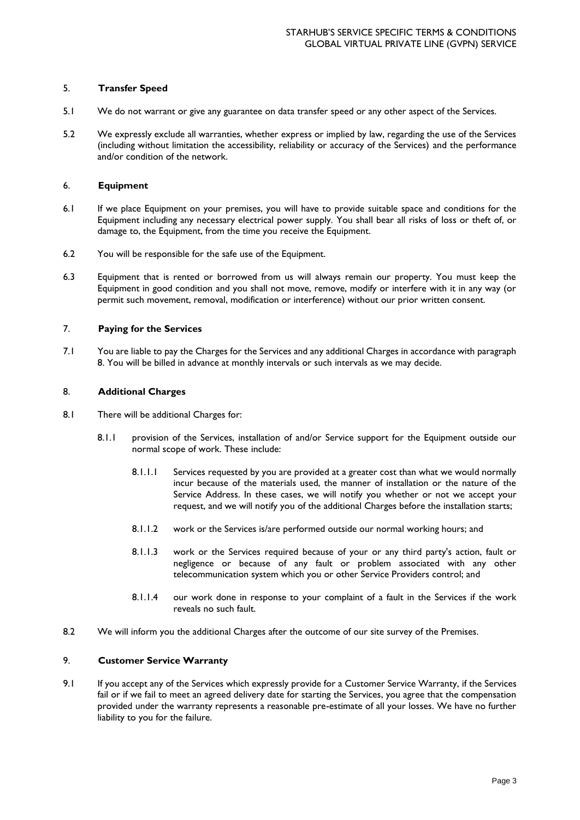# 5. **Transfer Speed**

- 5.1 We do not warrant or give any guarantee on data transfer speed or any other aspect of the Services.
- 5.2 We expressly exclude all warranties, whether express or implied by law, regarding the use of the Services (including without limitation the accessibility, reliability or accuracy of the Services) and the performance and/or condition of the network.

### 6. **Equipment**

- 6.1 If we place Equipment on your premises, you will have to provide suitable space and conditions for the Equipment including any necessary electrical power supply. You shall bear all risks of loss or theft of, or damage to, the Equipment, from the time you receive the Equipment.
- 6.2 You will be responsible for the safe use of the Equipment.
- 6.3 Equipment that is rented or borrowed from us will always remain our property. You must keep the Equipment in good condition and you shall not move, remove, modify or interfere with it in any way (or permit such movement, removal, modification or interference) without our prior written consent.

## 7. **Paying for the Services**

7.1 You are liable to pay the Charges for the Services and any additional Charges in accordance with paragraph 8. You will be billed in advance at monthly intervals or such intervals as we may decide.

### 8. **Additional Charges**

- 8.1 There will be additional Charges for:
	- 8.1.1 provision of the Services, installation of and/or Service support for the Equipment outside our normal scope of work. These include:
		- 8.1.1.1 Services requested by you are provided at a greater cost than what we would normally incur because of the materials used, the manner of installation or the nature of the Service Address. In these cases, we will notify you whether or not we accept your request, and we will notify you of the additional Charges before the installation starts;
		- 8.1.1.2 work or the Services is/are performed outside our normal working hours; and
		- 8.1.1.3 work or the Services required because of your or any third party's action, fault or negligence or because of any fault or problem associated with any other telecommunication system which you or other Service Providers control; and
		- 8.1.1.4 our work done in response to your complaint of a fault in the Services if the work reveals no such fault.
- 8.2 We will inform you the additional Charges after the outcome of our site survey of the Premises.

### 9. **Customer Service Warranty**

9.1 If you accept any of the Services which expressly provide for a Customer Service Warranty, if the Services fail or if we fail to meet an agreed delivery date for starting the Services, you agree that the compensation provided under the warranty represents a reasonable pre-estimate of all your losses. We have no further liability to you for the failure.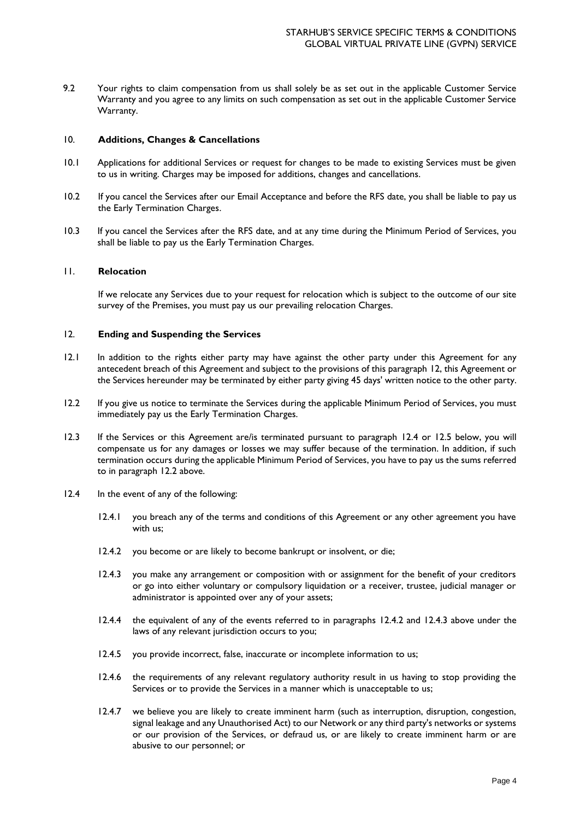9.2 Your rights to claim compensation from us shall solely be as set out in the applicable Customer Service Warranty and you agree to any limits on such compensation as set out in the applicable Customer Service Warranty.

#### 10. **Additions, Changes & Cancellations**

- 10.1 Applications for additional Services or request for changes to be made to existing Services must be given to us in writing. Charges may be imposed for additions, changes and cancellations.
- 10.2 If you cancel the Services after our Email Acceptance and before the RFS date, you shall be liable to pay us the Early Termination Charges.
- 10.3 If you cancel the Services after the RFS date, and at any time during the Minimum Period of Services, you shall be liable to pay us the Early Termination Charges.

#### 11. **Relocation**

If we relocate any Services due to your request for relocation which is subject to the outcome of our site survey of the Premises, you must pay us our prevailing relocation Charges.

#### 12. **Ending and Suspending the Services**

- 12.1 In addition to the rights either party may have against the other party under this Agreement for any antecedent breach of this Agreement and subject to the provisions of this paragraph 12, this Agreement or the Services hereunder may be terminated by either party giving 45 days' written notice to the other party.
- 12.2 If you give us notice to terminate the Services during the applicable Minimum Period of Services, you must immediately pay us the Early Termination Charges.
- 12.3 If the Services or this Agreement are/is terminated pursuant to paragraph 12.4 or 12.5 below, you will compensate us for any damages or losses we may suffer because of the termination. In addition, if such termination occurs during the applicable Minimum Period of Services, you have to pay us the sums referred to in paragraph 12.2 above.
- 12.4 In the event of any of the following:
	- 12.4.1 you breach any of the terms and conditions of this Agreement or any other agreement you have with us;
	- 12.4.2 you become or are likely to become bankrupt or insolvent, or die;
	- 12.4.3 you make any arrangement or composition with or assignment for the benefit of your creditors or go into either voluntary or compulsory liquidation or a receiver, trustee, judicial manager or administrator is appointed over any of your assets;
	- 12.4.4 the equivalent of any of the events referred to in paragraphs 12.4.2 and 12.4.3 above under the laws of any relevant jurisdiction occurs to you;
	- 12.4.5 you provide incorrect, false, inaccurate or incomplete information to us;
	- 12.4.6 the requirements of any relevant regulatory authority result in us having to stop providing the Services or to provide the Services in a manner which is unacceptable to us;
	- 12.4.7 we believe you are likely to create imminent harm (such as interruption, disruption, congestion, signal leakage and any Unauthorised Act) to our Network or any third party's networks or systems or our provision of the Services, or defraud us, or are likely to create imminent harm or are abusive to our personnel; or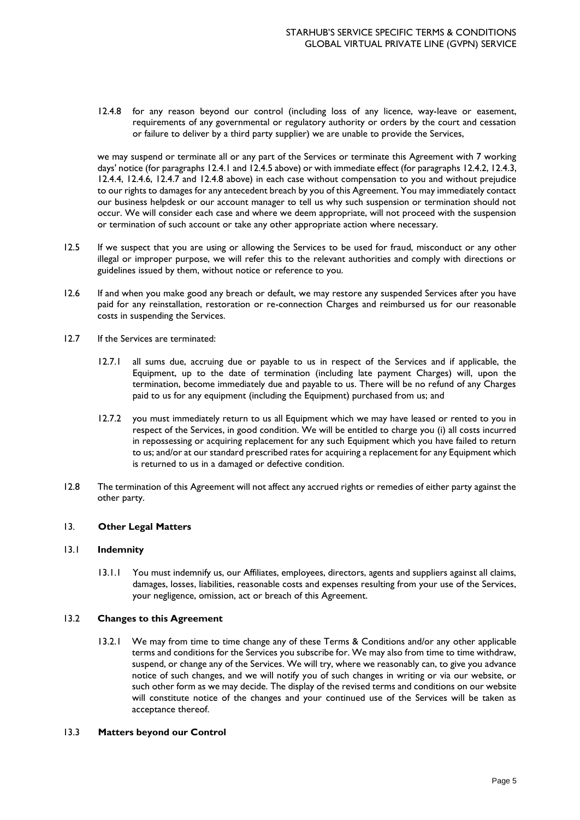12.4.8 for any reason beyond our control (including loss of any licence, way-leave or easement, requirements of any governmental or regulatory authority or orders by the court and cessation or failure to deliver by a third party supplier) we are unable to provide the Services,

we may suspend or terminate all or any part of the Services or terminate this Agreement with 7 working days' notice (for paragraphs 12.4.1 and 12.4.5 above) or with immediate effect (for paragraphs 12.4.2, 12.4.3, 12.4.4, 12.4.6, 12.4.7 and 12.4.8 above) in each case without compensation to you and without prejudice to our rights to damages for any antecedent breach by you of this Agreement. You may immediately contact our business helpdesk or our account manager to tell us why such suspension or termination should not occur. We will consider each case and where we deem appropriate, will not proceed with the suspension or termination of such account or take any other appropriate action where necessary.

- 12.5 If we suspect that you are using or allowing the Services to be used for fraud, misconduct or any other illegal or improper purpose, we will refer this to the relevant authorities and comply with directions or guidelines issued by them, without notice or reference to you.
- 12.6 If and when you make good any breach or default, we may restore any suspended Services after you have paid for any reinstallation, restoration or re-connection Charges and reimbursed us for our reasonable costs in suspending the Services.
- 12.7 If the Services are terminated:
	- 12.7.1 all sums due, accruing due or payable to us in respect of the Services and if applicable, the Equipment, up to the date of termination (including late payment Charges) will, upon the termination, become immediately due and payable to us. There will be no refund of any Charges paid to us for any equipment (including the Equipment) purchased from us; and
	- 12.7.2 you must immediately return to us all Equipment which we may have leased or rented to you in respect of the Services, in good condition. We will be entitled to charge you (i) all costs incurred in repossessing or acquiring replacement for any such Equipment which you have failed to return to us; and/or at our standard prescribed rates for acquiring a replacement for any Equipment which is returned to us in a damaged or defective condition.
- 12.8 The termination of this Agreement will not affect any accrued rights or remedies of either party against the other party.

### 13. **Other Legal Matters**

### 13.1 **Indemnity**

13.1.1 You must indemnify us, our Affiliates, employees, directors, agents and suppliers against all claims, damages, losses, liabilities, reasonable costs and expenses resulting from your use of the Services, your negligence, omission, act or breach of this Agreement.

### 13.2 **Changes to this Agreement**

13.2.1 We may from time to time change any of these Terms & Conditions and/or any other applicable terms and conditions for the Services you subscribe for. We may also from time to time withdraw, suspend, or change any of the Services. We will try, where we reasonably can, to give you advance notice of such changes, and we will notify you of such changes in writing or via our website, or such other form as we may decide. The display of the revised terms and conditions on our website will constitute notice of the changes and your continued use of the Services will be taken as acceptance thereof.

### 13.3 **Matters beyond our Control**